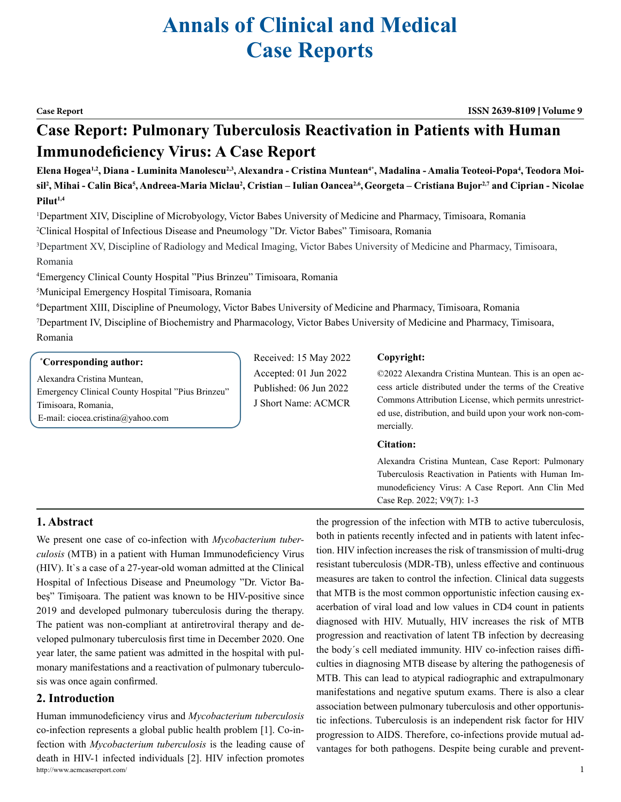# **Annals of Clinical and Medical Case Reports**

**Case Report ISSN 2639-8109 Volume 9**

## **Case Report: Pulmonary Tuberculosis Reactivation in Patients with Human Immunodeficiency Virus: A Case Report**

Elena Hogea<sup>1,2</sup>, Diana - Luminita Manolescu<sup>2,3</sup>, Alexandra - Cristina Muntean<sup>4</sup>\*, Madalina - Amalia Teoteoi-Popa<sup>4</sup>, Teodora Moisil<sup>2</sup>, Mihai - Calin Bica<sup>5</sup>, Andreea-Maria Miclau<sup>2</sup>, Cristian – Iulian Oancea<sup>2,6</sup>, Georgeta – Cristiana Bujor<sup>2,7</sup> and Ciprian - Nicolae **Pilut1,4**

1 Department XIV, Discipline of Microbyology, Victor Babes University of Medicine and Pharmacy, Timisoara, Romania

2 Clinical Hospital of Infectious Disease and Pneumology "Dr. Victor Babes" Timisoara, Romania

3 Department XV, Discipline of Radiology and Medical Imaging, Victor Babes University of Medicine and Pharmacy, Timisoara, Romania

4 Emergency Clinical County Hospital "Pius Brinzeu" Timisoara, Romania

5 Municipal Emergency Hospital Timisoara, Romania

6 Department XIII, Discipline of Pneumology, Victor Babes University of Medicine and Pharmacy, Timisoara, Romania

7 Department IV, Discipline of Biochemistry and Pharmacology, Victor Babes University of Medicine and Pharmacy, Timisoara, Romania

#### **\* Corresponding author:**

Alexandra Cristina Muntean, Emergency Clinical County Hospital "Pius Brinzeu" Timisoara, Romania,

E-mail: [ciocea.cristina@yahoo.com](mailto:ciocea.cristina@yahoo.com)

Received: 15 May 2022 Accepted: 01 Jun 2022 Published: 06 Jun 2022 J Short Name: ACMCR

#### **Copyright:**

©2022 Alexandra Cristina Muntean. This is an open access article distributed under the terms of the Creative Commons Attribution License, which permits unrestricted use, distribution, and build upon your work non-commercially.

#### **Citation:**

Alexandra Cristina Muntean, Case Report: Pulmonary Tuberculosis Reactivation in Patients with Human Immunodeficiency Virus: A Case Report. Ann Clin Med Case Rep. 2022; V9(7): 1-3

### **1. Abstract**

We present one case of co-infection with *Mycobacterium tuberculosis* (MTB) in a patient with Human Immunodeficiency Virus (HIV). It`s a case of a 27-year-old woman admitted at the Clinical Hospital of Infectious Disease and Pneumology "Dr. Victor Babeș" Timișoara. The patient was known to be HIV-positive since 2019 and developed pulmonary tuberculosis during the therapy. The patient was non-compliant at antiretroviral therapy and developed pulmonary tuberculosis first time in December 2020. One year later, the same patient was admitted in the hospital with pulmonary manifestations and a reactivation of pulmonary tuberculosis was once again confirmed.

#### **2. Introduction**

http://www.acmcasereport.com/ 1 Human immunodeficiency virus and *Mycobacterium tuberculosis*  co-infection represents a global public health problem [1]. Co-infection with *Mycobacterium tuberculosis* is the leading cause of death in HIV-1 infected individuals [2]. HIV infection promotes

the progression of the infection with MTB to active tuberculosis, both in patients recently infected and in patients with latent infection. HIV infection increases the risk of transmission of multi-drug resistant tuberculosis (MDR-TB), unless effective and continuous measures are taken to control the infection. Clinical data suggests that MTB is the most common opportunistic infection causing exacerbation of viral load and low values in CD4 count in patients diagnosed with HIV. Mutually, HIV increases the risk of MTB progression and reactivation of latent TB infection by decreasing the body΄s cell mediated immunity. HIV co-infection raises difficulties in diagnosing MTB disease by altering the pathogenesis of MTB. This can lead to atypical radiographic and extrapulmonary manifestations and negative sputum exams. There is also a clear association between pulmonary tuberculosis and other opportunistic infections. Tuberculosis is an independent risk factor for HIV progression to AIDS. Therefore, co-infections provide mutual advantages for both pathogens. Despite being curable and prevent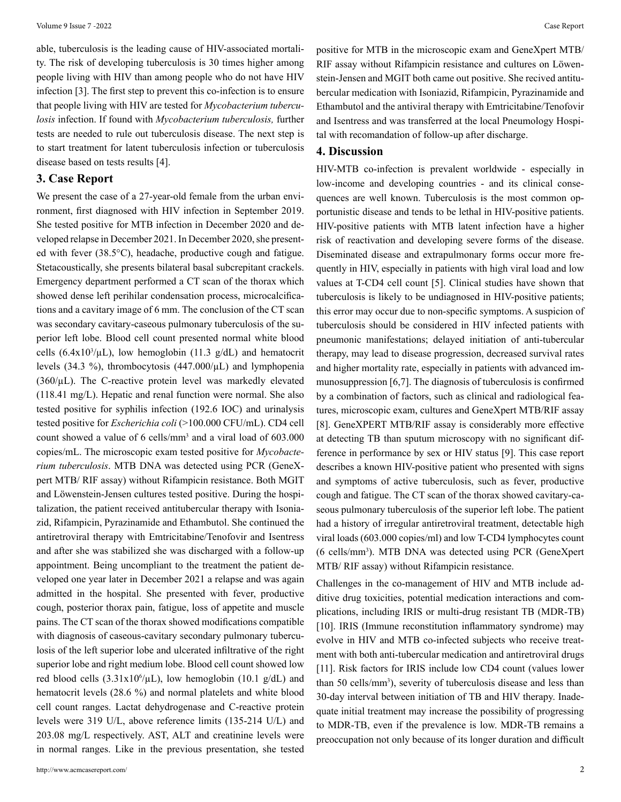able, tuberculosis is the leading cause of HIV-associated mortality. The risk of developing tuberculosis is 30 times higher among people living with HIV than among people who do not have HIV infection [3]. The first step to prevent this co-infection is to ensure that people living with HIV are tested for *Mycobacterium tuberculosis* infection. If found with *Mycobacterium tuberculosis,* further tests are needed to rule out tuberculosis disease. The next step is to start treatment for latent tuberculosis infection or tuberculosis disease based on tests results [4].

#### **3. Case Report**

We present the case of a 27-year-old female from the urban environment, first diagnosed with HIV infection in September 2019. She tested positive for MTB infection in December 2020 and developed relapse in December 2021. In December 2020, she presented with fever (38.5°C), headache, productive cough and fatigue. Stetacoustically, she presents bilateral basal subcrepitant crackels. Emergency department performed a CT scan of the thorax which showed dense left perihilar condensation process, microcalcifications and a cavitary image of 6 mm. The conclusion of the CT scan was secondary cavitary-caseous pulmonary tuberculosis of the superior left lobe. Blood cell count presented normal white blood cells  $(6.4 \times 10^3/\mu L)$ , low hemoglobin  $(11.3 \text{ g/d}L)$  and hematocrit levels (34.3 %), thrombocytosis (447.000/µL) and lymphopenia  $(360/\mu L)$ . The C-reactive protein level was markedly elevated (118.41 mg/L). Hepatic and renal function were normal. She also tested positive for syphilis infection (192.6 IOC) and urinalysis tested positive for *Escherichia coli* (>100.000 CFU/mL). CD4 cell count showed a value of 6 cells/mm3 and a viral load of 603.000 copies/mL. The microscopic exam tested positive for *Mycobacterium tuberculosis*. MTB DNA was detected using PCR (GeneXpert MTB/ RIF assay) without Rifampicin resistance. Both MGIT and Löwenstein-Jensen cultures tested positive. During the hospitalization, the patient received antitubercular therapy with Isoniazid, Rifampicin, Pyrazinamide and Ethambutol. She continued the antiretroviral therapy with Emtricitabine/Tenofovir and Isentress and after she was stabilized she was discharged with a follow-up appointment. Being uncompliant to the treatment the patient developed one year later in December 2021 a relapse and was again admitted in the hospital. She presented with fever, productive cough, posterior thorax pain, fatigue, loss of appetite and muscle pains. The CT scan of the thorax showed modifications compatible with diagnosis of caseous-cavitary secondary pulmonary tuberculosis of the left superior lobe and ulcerated infiltrative of the right superior lobe and right medium lobe. Blood cell count showed low red blood cells  $(3.31x10^6/\mu L)$ , low hemoglobin  $(10.1 \text{ g}/dL)$  and hematocrit levels (28.6 %) and normal platelets and white blood cell count ranges. Lactat dehydrogenase and C-reactive protein levels were 319 U/L, above reference limits (135-214 U/L) and 203.08 mg/L respectively. AST, ALT and creatinine levels were in normal ranges. Like in the previous presentation, she tested

positive for MTB in the microscopic exam and GeneXpert MTB/ RIF assay without Rifampicin resistance and cultures on Löwenstein-Jensen and MGIT both came out positive. She recived antitubercular medication with Isoniazid, Rifampicin, Pyrazinamide and Ethambutol and the antiviral therapy with Emtricitabine/Tenofovir and Isentress and was transferred at the local Pneumology Hospital with recomandation of follow-up after discharge.

#### **4. Discussion**

HIV-MTB co-infection is prevalent worldwide - especially in low-income and developing countries - and its clinical consequences are well known. Tuberculosis is the most common opportunistic disease and tends to be lethal in HIV-positive patients. HIV-positive patients with MTB latent infection have a higher risk of reactivation and developing severe forms of the disease. Diseminated disease and extrapulmonary forms occur more frequently in HIV, especially in patients with high viral load and low values at T-CD4 cell count [5]. Clinical studies have shown that tuberculosis is likely to be undiagnosed in HIV-positive patients; this error may occur due to non-specific symptoms. A suspicion of tuberculosis should be considered in HIV infected patients with pneumonic manifestations; delayed initiation of anti-tubercular therapy, may lead to disease progression, decreased survival rates and higher mortality rate, especially in patients with advanced immunosuppression [6,7]. The diagnosis of tuberculosis is confirmed by a combination of factors, such as clinical and radiological features, microscopic exam, cultures and GeneXpert MTB/RIF assay [8]. GeneXPERT MTB/RIF assay is considerably more effective at detecting TB than sputum microscopy with no significant difference in performance by sex or HIV status [9]. This case report describes a known HIV-positive patient who presented with signs and symptoms of active tuberculosis, such as fever, productive cough and fatigue. The CT scan of the thorax showed cavitary-caseous pulmonary tuberculosis of the superior left lobe. The patient had a history of irregular antiretroviral treatment, detectable high viral loads (603.000 copies/ml) and low T-CD4 lymphocytes count (6 cells/mm3 ). MTB DNA was detected using PCR (GeneXpert MTB/ RIF assay) without Rifampicin resistance.

Challenges in the co-management of HIV and MTB include additive drug toxicities, potential medication interactions and complications, including IRIS or multi-drug resistant TB (MDR-TB) [10]. IRIS (Immune reconstitution inflammatory syndrome) may evolve in HIV and MTB co-infected subjects who receive treatment with both anti-tubercular medication and antiretroviral drugs [11]. Risk factors for IRIS include low CD4 count (values lower than 50 cells/mm<sup>3</sup>), severity of tuberculosis disease and less than 30-day interval between initiation of TB and HIV therapy. Inadequate initial treatment may increase the possibility of progressing to MDR-TB, even if the prevalence is low. MDR-TB remains a preoccupation not only because of its longer duration and difficult